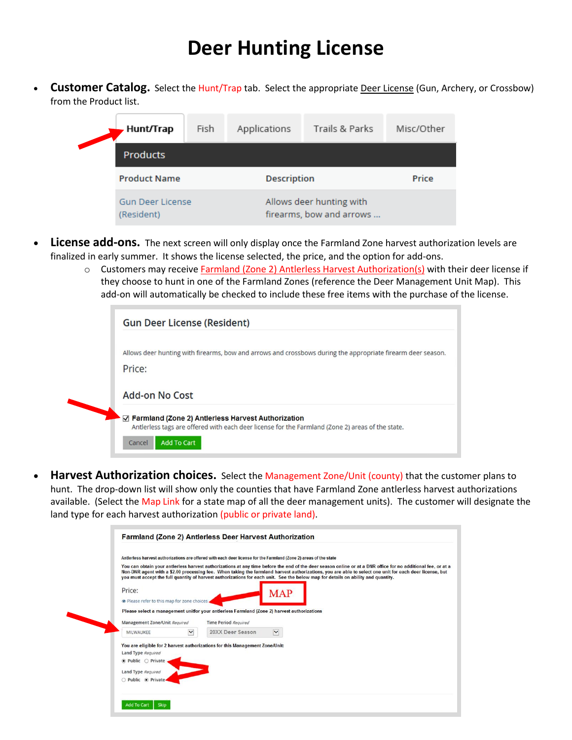## **Deer Hunting License**

• **Customer Catalog.** Select the Hunt/Trap tab. Select the appropriate Deer License (Gun, Archery, or Crossbow) from the Product list.

| Hunt/Trap                             | Fish | Applications       | Trails & Parks                                       | Misc/Other |  |  |  |  |
|---------------------------------------|------|--------------------|------------------------------------------------------|------------|--|--|--|--|
| <b>Products</b>                       |      |                    |                                                      |            |  |  |  |  |
| <b>Product Name</b>                   |      | <b>Description</b> |                                                      | Price      |  |  |  |  |
| <b>Gun Deer License</b><br>(Resident) |      |                    | Allows deer hunting with<br>firearms, bow and arrows |            |  |  |  |  |

- **License add-ons.** The next screen will only display once the Farmland Zone harvest authorization levels are finalized in early summer. It shows the license selected, the price, and the option for add-ons.
	- o Customers may receive Farmland (Zone 2) Antlerless Harvest Authorization(s) with their deer license if they choose to hunt in one of the Farmland Zones (reference the Deer Management Unit Map). This add-on will automatically be checked to include these free items with the purchase of the license.

| <b>Gun Deer License (Resident)</b>                                                                          |
|-------------------------------------------------------------------------------------------------------------|
| Allows deer hunting with firearms, bow and arrows and crossbows during the appropriate firearm deer season. |
| Price:                                                                                                      |
| Add-on No Cost                                                                                              |
| $\vee$ Farmland (Zone 2) Antierless Harvest Authorization                                                   |
| Antierless tags are offered with each deer license for the Farmland (Zone 2) areas of the state.            |

• **Harvest Authorization choices.** Select the Management Zone/Unit (county) that the customer plans to hunt. The drop-down list will show only the counties that have Farmland Zone antlerless harvest authorizations available. (Select the Map Link for a state map of all the deer management units). The customer will designate the land type for each harvest authorization (public or private land).

|                                                                                                                                                                                                                                                                                                                                                                                                                                                              | Antierless harvest authorizations are offered with each deer license for the Farmland (Zone 2) areas of the state |  |  |  |  |  |  |  |
|--------------------------------------------------------------------------------------------------------------------------------------------------------------------------------------------------------------------------------------------------------------------------------------------------------------------------------------------------------------------------------------------------------------------------------------------------------------|-------------------------------------------------------------------------------------------------------------------|--|--|--|--|--|--|--|
| You can obtain your antlerless harvest authorizations at any time before the end of the deer season online or at a DNR office for no additional fee, or at a<br>Non-DNR agent with a \$2.00 processing fee. When taking the farmland harvest authorizations, you are able to select one unit for each deer license, but<br>you must accept the full quantity of harvest authorizations for each unit. See the below map for details on ability and quantity. |                                                                                                                   |  |  |  |  |  |  |  |
| Price:<br>· Please refer to this map for zone choices.                                                                                                                                                                                                                                                                                                                                                                                                       | <b>MAP</b>                                                                                                        |  |  |  |  |  |  |  |
|                                                                                                                                                                                                                                                                                                                                                                                                                                                              | Please select a management unitfor your antierless Farmland (Zone 2) harvest authorizations                       |  |  |  |  |  |  |  |
| Management Zone/Unit Required                                                                                                                                                                                                                                                                                                                                                                                                                                | <b>Time Period Required</b>                                                                                       |  |  |  |  |  |  |  |
| $\checkmark$<br>MILWAUKEE                                                                                                                                                                                                                                                                                                                                                                                                                                    | 20XX Deer Season<br>$\checkmark$                                                                                  |  |  |  |  |  |  |  |
| Land Type Required<br>$\bullet$ Public $\circ$ Private                                                                                                                                                                                                                                                                                                                                                                                                       | You are eligible for 2 harvest authorizations for this Management Zone/Unit:                                      |  |  |  |  |  |  |  |
| Land Type Required                                                                                                                                                                                                                                                                                                                                                                                                                                           |                                                                                                                   |  |  |  |  |  |  |  |
|                                                                                                                                                                                                                                                                                                                                                                                                                                                              |                                                                                                                   |  |  |  |  |  |  |  |